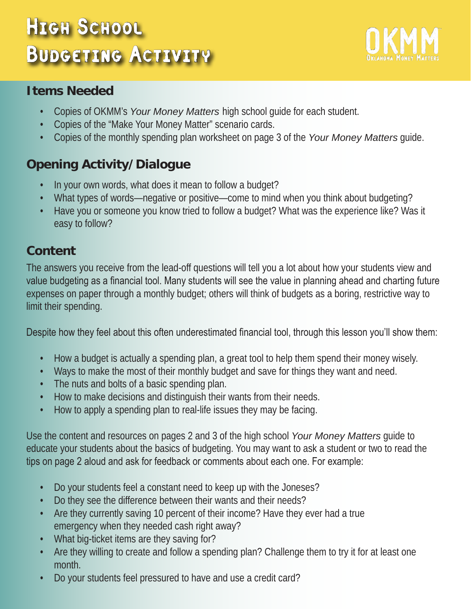# HIGH SCHOOL Budgeting Activity



## **Items Needed**

- Copies of OKMM's *Your Money Matters* high school guide for each student.
- Copies of the "Make Your Money Matter" scenario cards.
- Copies of the monthly spending plan worksheet on page 3 of the *Your Money Matters* guide.

# **Opening Activity/Dialogue**

- In your own words, what does it mean to follow a budget?
- What types of words—negative or positive—come to mind when you think about budgeting?
- Have you or someone you know tried to follow a budget? What was the experience like? Was it easy to follow?

# **Content**

The answers you receive from the lead-off questions will tell you a lot about how your students view and value budgeting as a financial tool. Many students will see the value in planning ahead and charting future expenses on paper through a monthly budget; others will think of budgets as a boring, restrictive way to limit their spending.

Despite how they feel about this often underestimated financial tool, through this lesson you'll show them:

- How a budget is actually a spending plan, a great tool to help them spend their money wisely.
- Ways to make the most of their monthly budget and save for things they want and need.
- The nuts and bolts of a basic spending plan.
- How to make decisions and distinguish their wants from their needs.
- How to apply a spending plan to real-life issues they may be facing.

Use the content and resources on pages 2 and 3 of the high school *Your Money Matters* guide to educate your students about the basics of budgeting. You may want to ask a student or two to read the tips on page 2 aloud and ask for feedback or comments about each one. For example:

- Do your students feel a constant need to keep up with the Joneses?
- Do they see the difference between their wants and their needs?
- Are they currently saving 10 percent of their income? Have they ever had a true emergency when they needed cash right away?
- What big-ticket items are they saving for?
- Are they willing to create and follow a spending plan? Challenge them to try it for at least one month.
- Do your students feel pressured to have and use a credit card?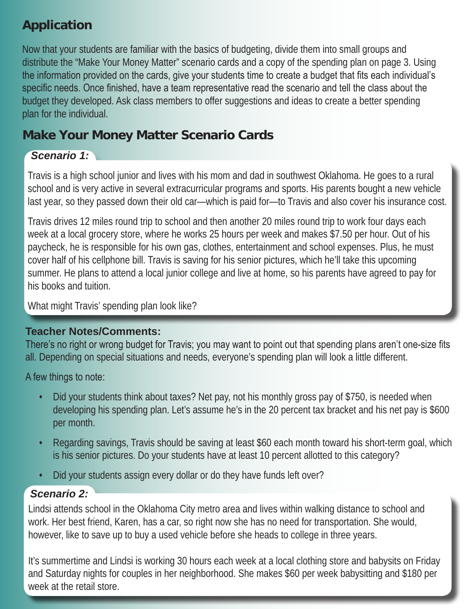## **Application**

Now that your students are familiar with the basics of budgeting, divide them into small groups and distribute the "Make Your Money Matter" scenario cards and a copy of the spending plan on page 3. Using the information provided on the cards, give your students time to create a budget that fits each individual's specific needs. Once finished, have a team representative read the scenario and tell the class about the budget they developed. Ask class members to offer suggestions and ideas to create a better spending plan for the individual.

## **Make Your Money Matter Scenario Cards**

## *Scenario 1:*

Travis is a high school junior and lives with his mom and dad in southwest Oklahoma. He goes to a rural school and is very active in several extracurricular programs and sports. His parents bought a new vehicle last year, so they passed down their old car—which is paid for—to Travis and also cover his insurance cost.

Travis drives 12 miles round trip to school and then another 20 miles round trip to work four days each week at a local grocery store, where he works 25 hours per week and makes \$7.50 per hour. Out of his paycheck, he is responsible for his own gas, clothes, entertainment and school expenses. Plus, he must cover half of his cellphone bill. Travis is saving for his senior pictures, which he'll take this upcoming summer. He plans to attend a local junior college and live at home, so his parents have agreed to pay for his books and tuition.

What might Travis' spending plan look like?

#### **Teacher Notes/Comments:**

There's no right or wrong budget for Travis; you may want to point out that spending plans aren't one-size fits all. Depending on special situations and needs, everyone's spending plan will look a little different.

A few things to note:

- Did your students think about taxes? Net pay, not his monthly gross pay of \$750, is needed when developing his spending plan. Let's assume he's in the 20 percent tax bracket and his net pay is \$600 per month.
- Regarding savings, Travis should be saving at least \$60 each month toward his short-term goal, which is his senior pictures. Do your students have at least 10 percent allotted to this category?
- Did your students assign every dollar or do they have funds left over?

#### *Scenario 2:*

Lindsi attends school in the Oklahoma City metro area and lives within walking distance to school and work. Her best friend, Karen, has a car, so right now she has no need for transportation. She would, however, like to save up to buy a used vehicle before she heads to college in three years.

It's summertime and Lindsi is working 30 hours each week at a local clothing store and babysits on Friday and Saturday nights for couples in her neighborhood. She makes \$60 per week babysitting and \$180 per week at the retail store.